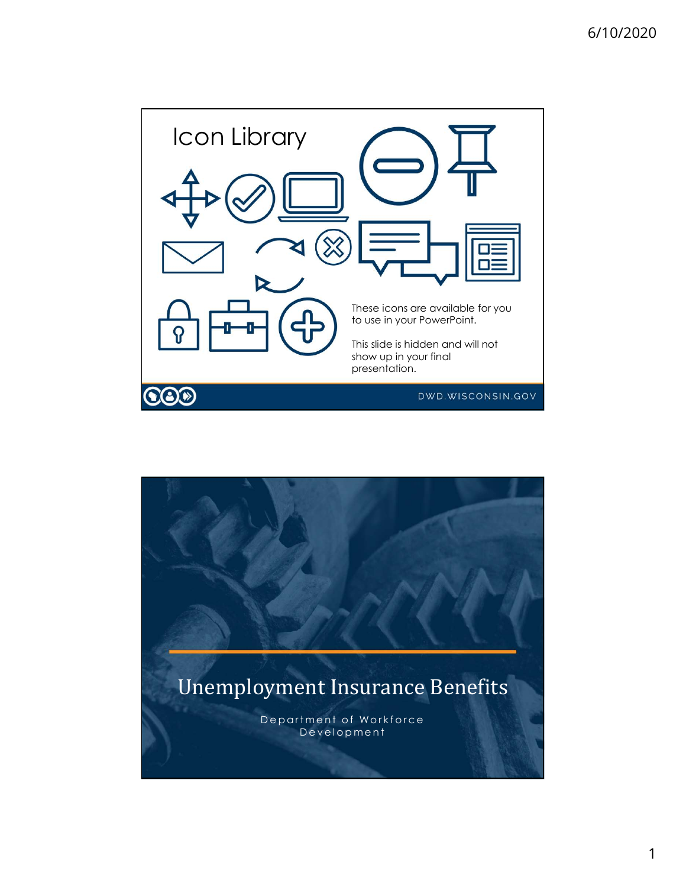

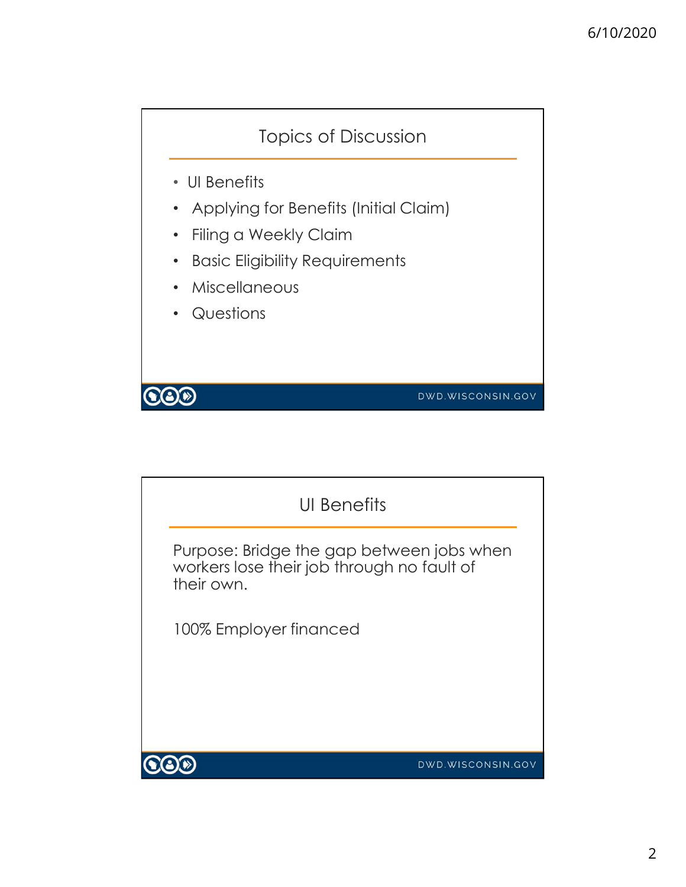

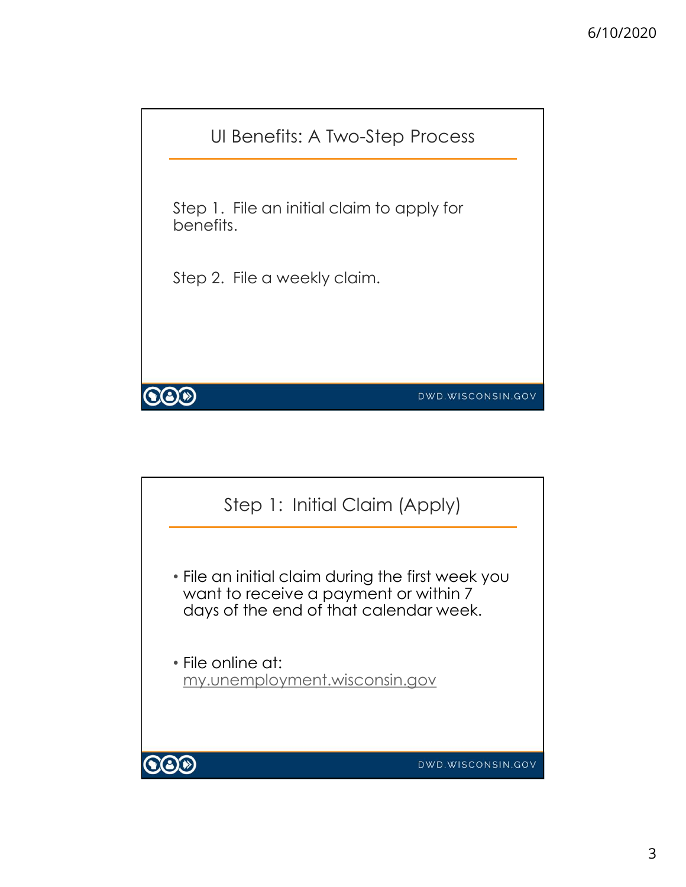

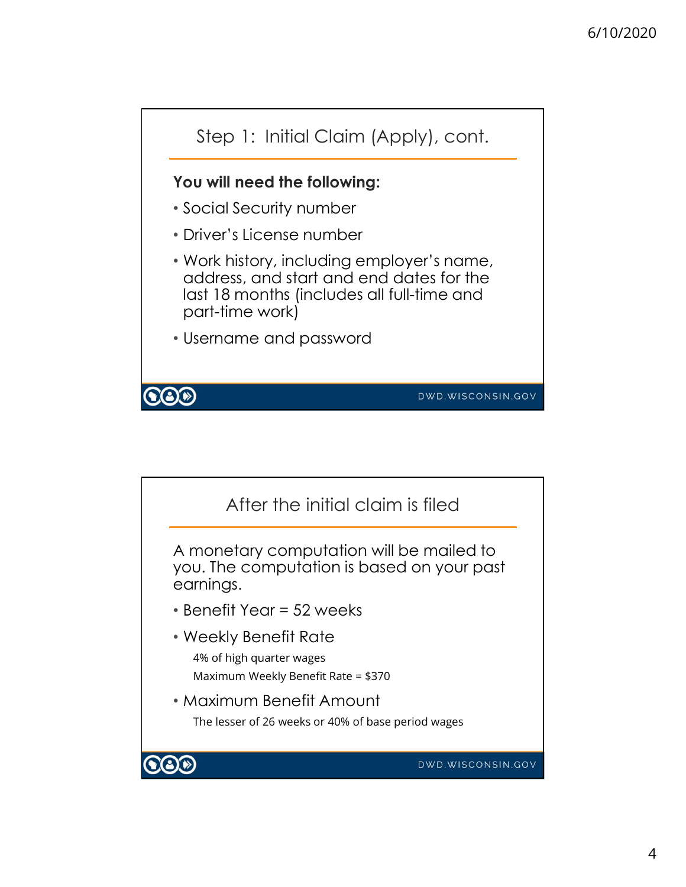

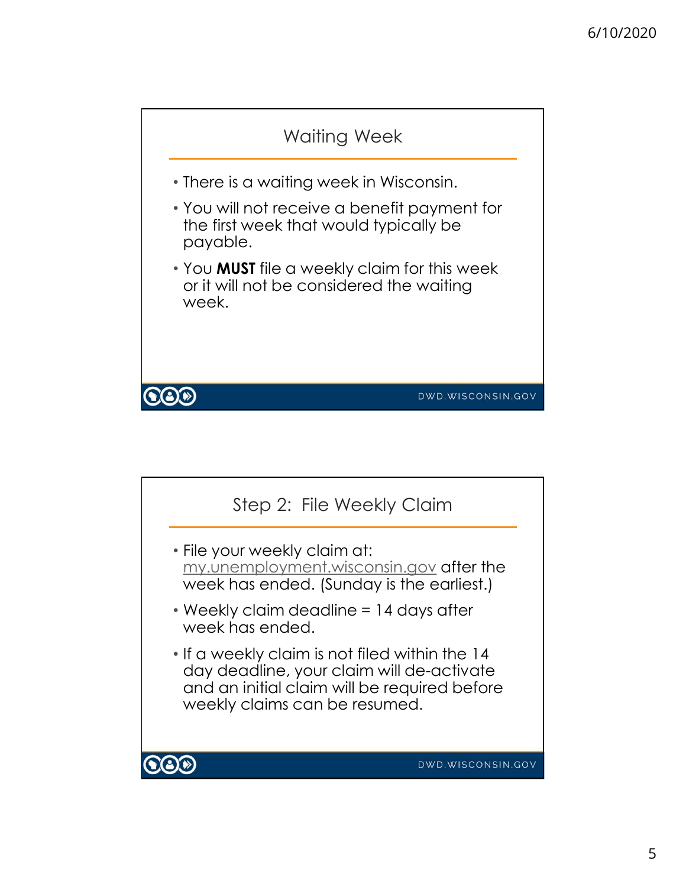

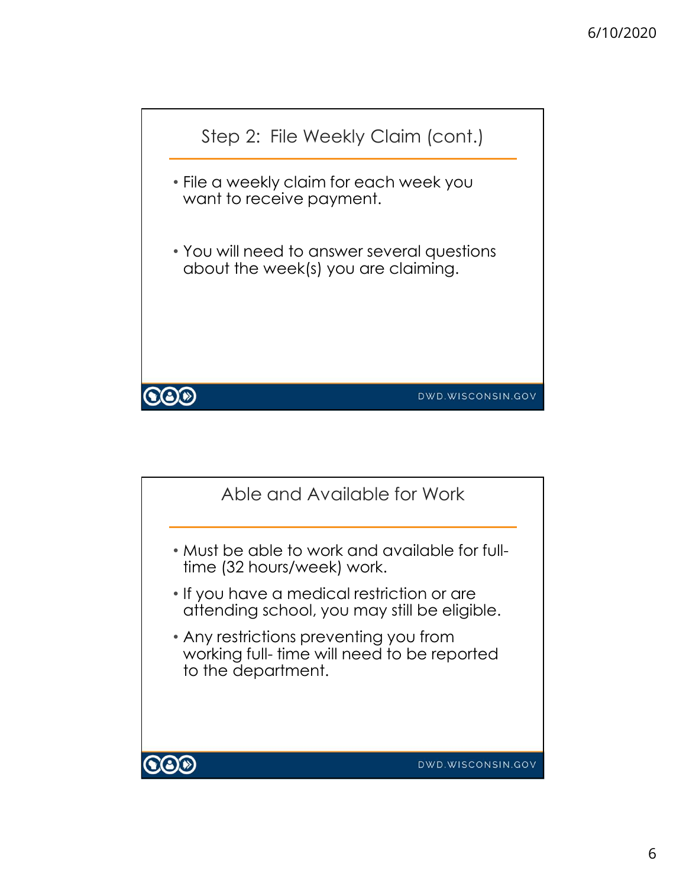

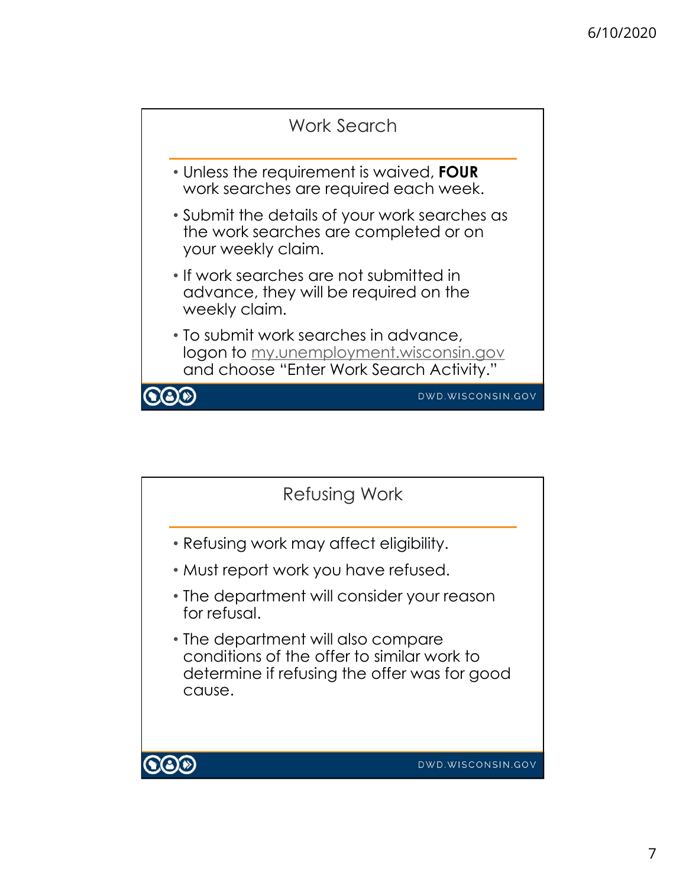

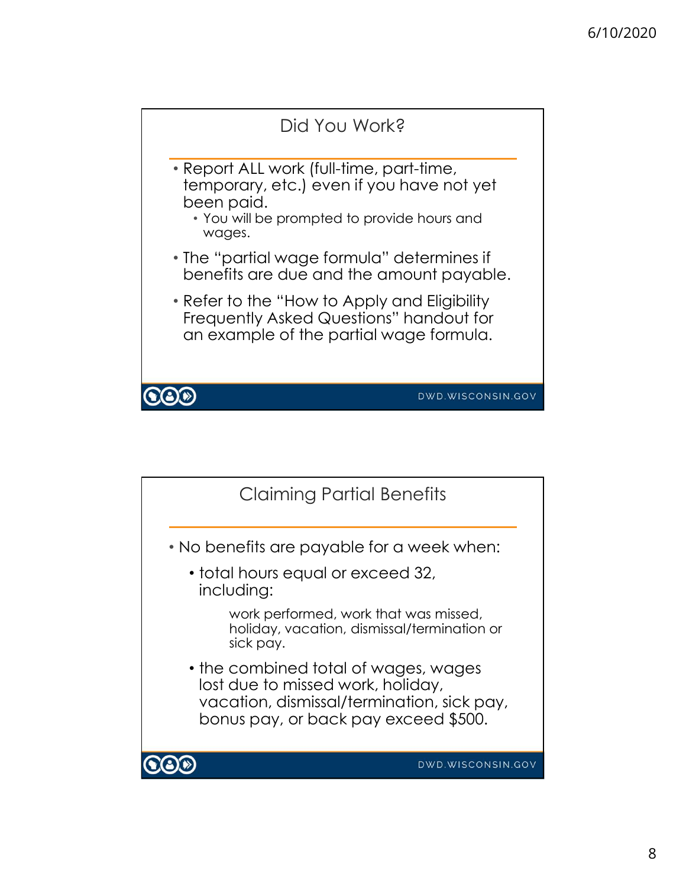

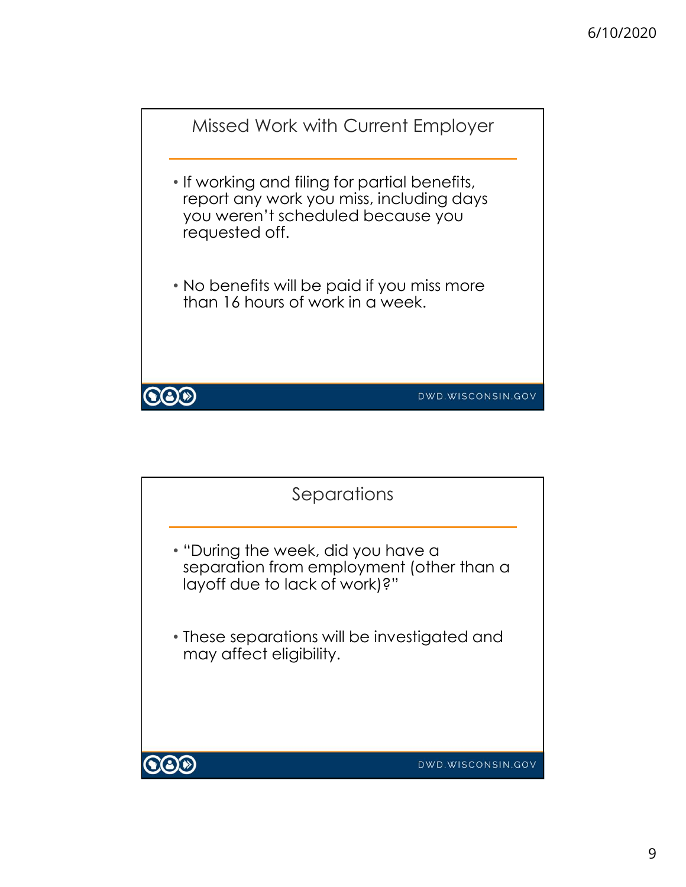

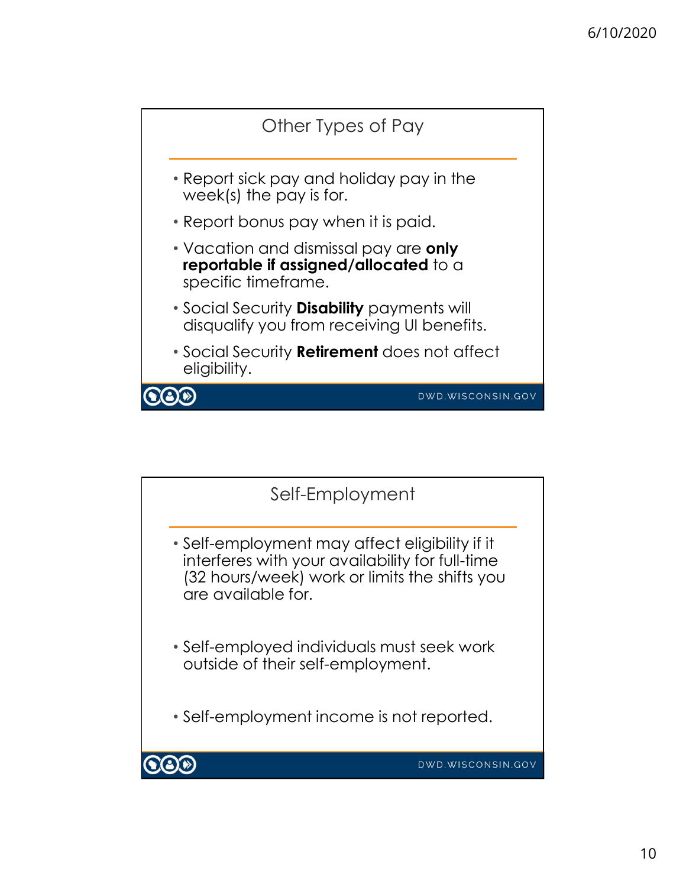

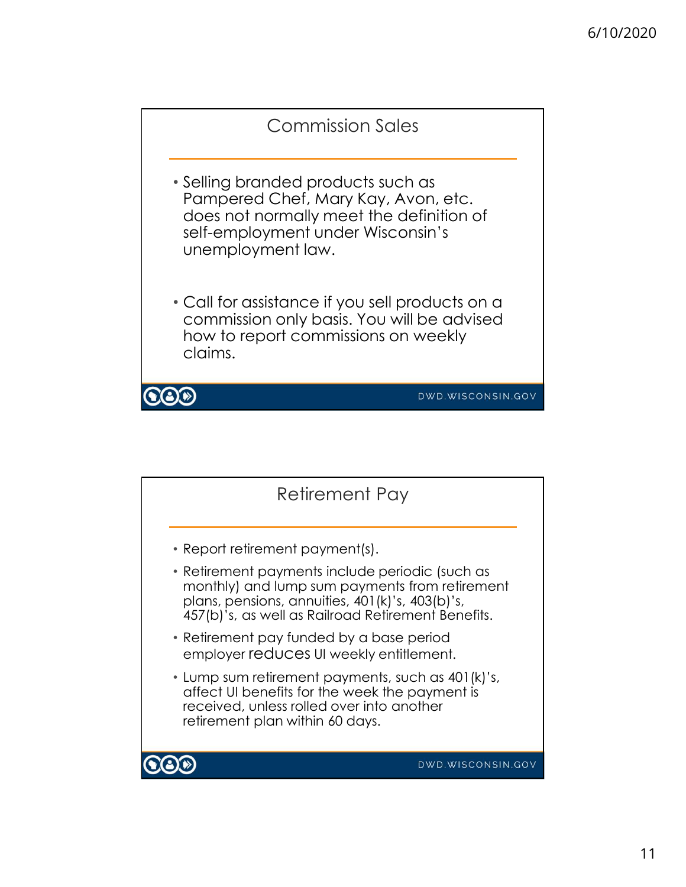

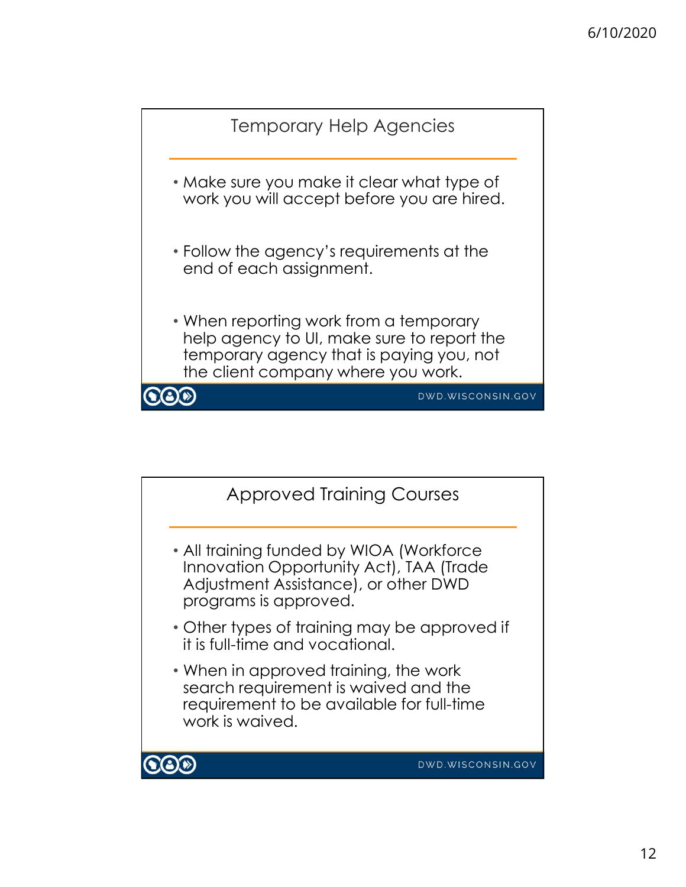

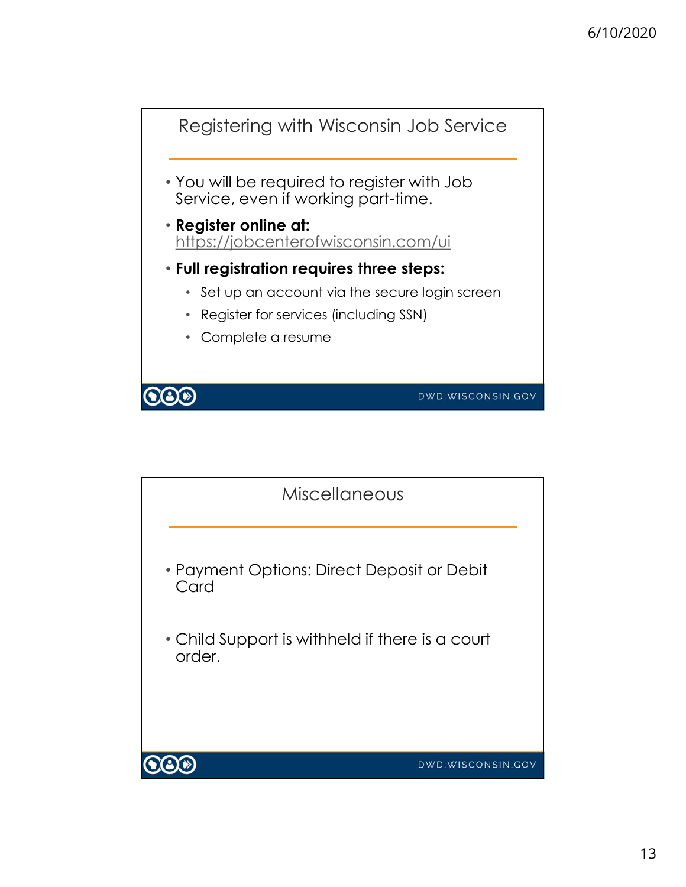

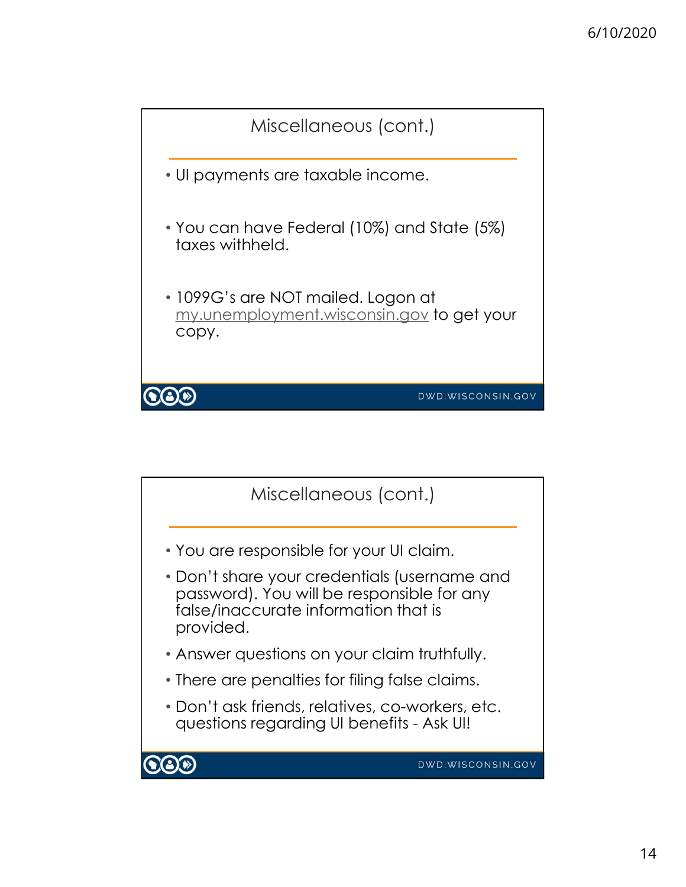

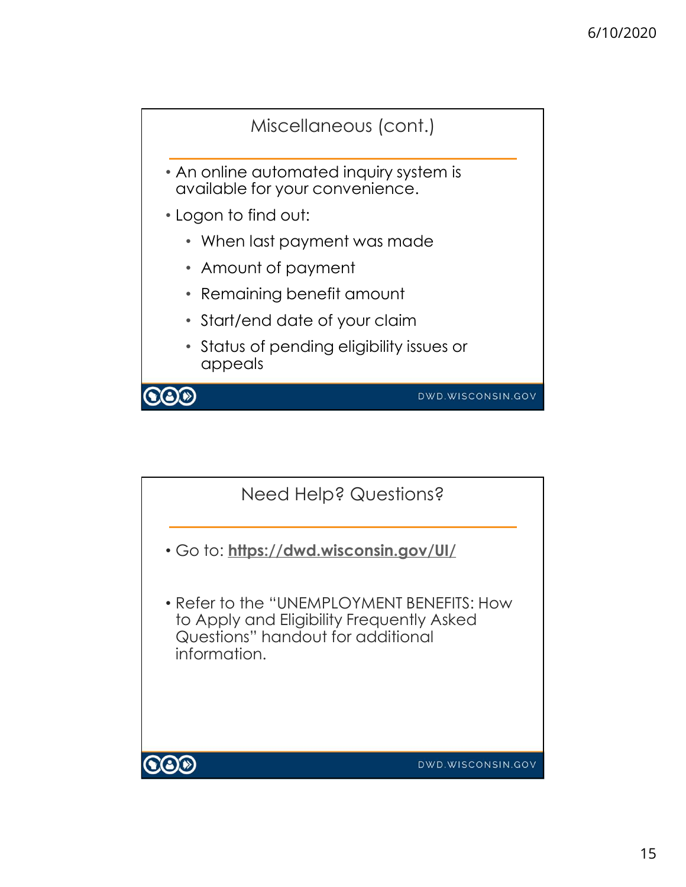